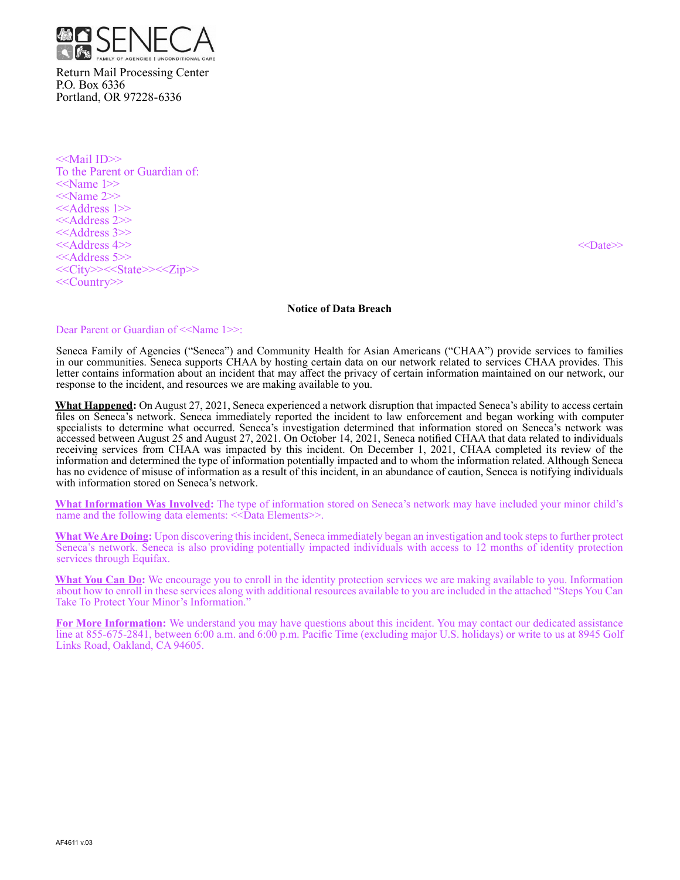

Return Mail Processing Center P.O. Box 6336 Portland, OR 97228-6336

<<Mail ID>> To the Parent or Guardian of:  $\le$ Name 1>> <<Name 2>> <<Address 1>> <<Address 2>> <<Address 3>> <<Address 4>> <<>>><<>>>>>><<>><<>><<>
<< <<Address 5>> <<City>><<State>><<Zip>> <<Country>>

#### **Notice of Data Breach**

#### Dear Parent or Guardian of <<Name 1>>:

Seneca Family of Agencies ("Seneca") and Community Health for Asian Americans ("CHAA") provide services to families in our communities. Seneca supports CHAA by hosting certain data on our network related to services CHAA provides. This letter contains information about an incident that may affect the privacy of certain information maintained on our network, our response to the incident, and resources we are making available to you.

**What Happened:** On August 27, 2021, Seneca experienced a network disruption that impacted Seneca's ability to access certain files on Seneca's network. Seneca immediately reported the incident to law enforcement and began working with computer specialists to determine what occurred. Seneca's investigation determined that information stored on Seneca's network was accessed between August 25 and August 27, 2021. On October 14, 2021, Seneca notified CHAA that data related to individuals receiving services from CHAA was impacted by this incident. On December 1, 2021, CHAA completed its review of the information and determined the type of information potentially impacted and to whom the information related. Although Seneca has no evidence of misuse of information as a result of this incident, in an abundance of caution, Seneca is notifying individuals with information stored on Seneca's network.

**What Information Was Involved:** The type of information stored on Seneca's network may have included your minor child's name and the following data elements:  $\leq$ Data Elements>>.

**What We Are Doing:** Upon discovering this incident, Seneca immediately began an investigation and took steps to further protect Seneca's network. Seneca is also providing potentially impacted individuals with access to 12 months of identity protection services through Equifax.

**What You Can Do:** We encourage you to enroll in the identity protection services we are making available to you. Information about how to enroll in these services along with additional resources available to you are included in the attached "Steps You Can Take To Protect Your Minor's Information."

**For More Information:** We understand you may have questions about this incident. You may contact our dedicated assistance line at 855-675-2841, between 6:00 a.m. and 6:00 p.m. Pacific Time (excluding major U.S. holidays) or write to us at 8945 Golf Links Road, Oakland, CA 94605.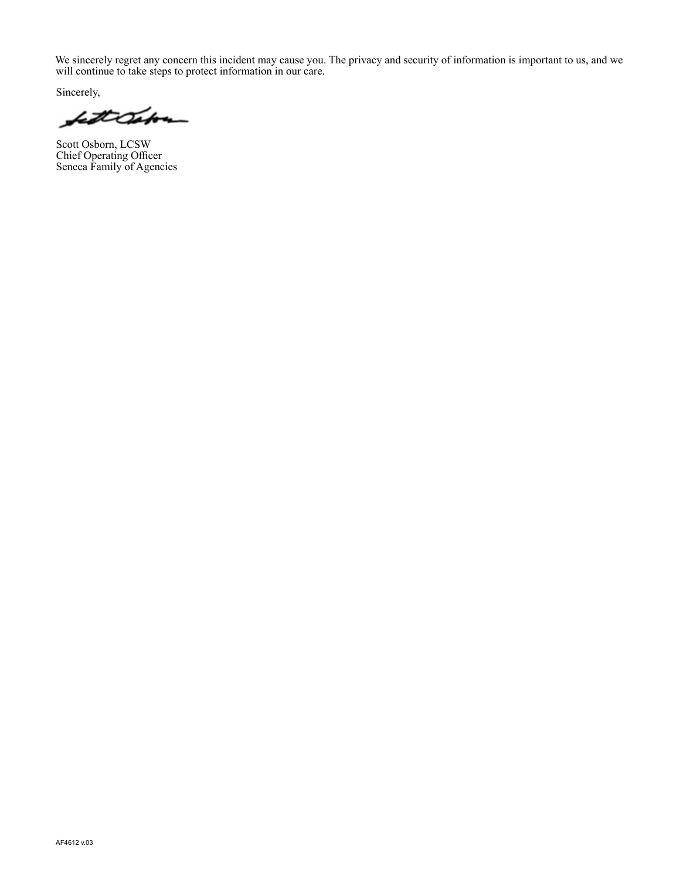We sincerely regret any concern this incident may cause you. The privacy and security of information is important to us, and we will continue to take steps to protect information in our care.

Sincerely,

fattCabon

Scott Osborn, LCSW Chief Operating Officer Seneca Family of Agencies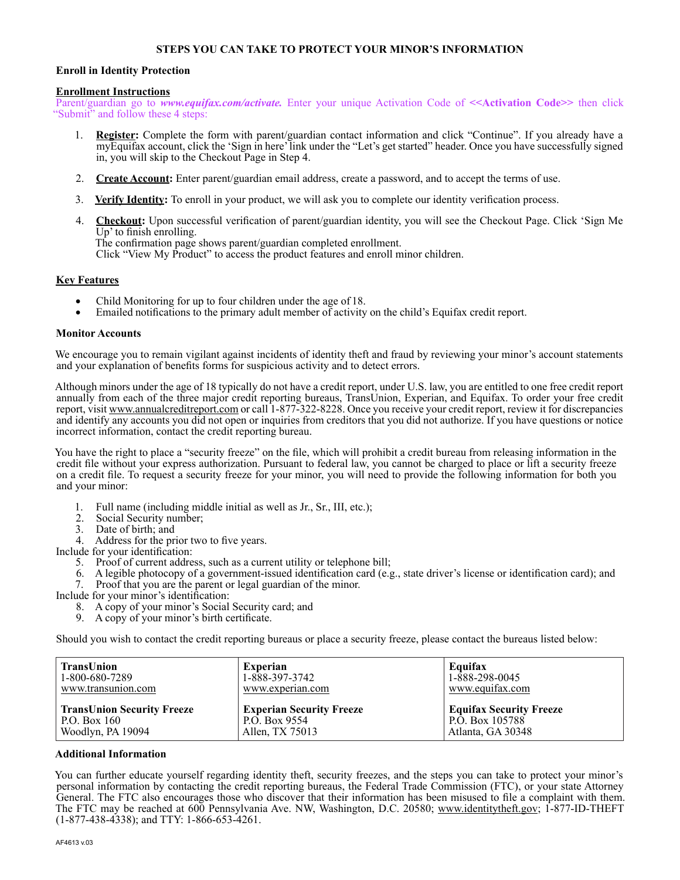# **STEPS YOU CAN TAKE TO PROTECT YOUR MINOR'S INFORMATION**

#### **Enroll in Identity Protection**

#### **Enrollment Instructions**

Parent/guardian go to *www.equifax.com/activate.* Enter your unique Activation Code of **<<Activation Code>>** then click "Submit" and follow these 4 steps:

- **Register:** Complete the form with parent/guardian contact information and click "Continue". If you already have a myEquifax account, click the 'Sign in here' link under the "Let's get started" header. Once you have successfully signed in, you will skip to the Checkout Page in Step 4.
- 2. **Create Account:** Enter parent/guardian email address, create a password, and to accept the terms of use.
- 3. Verify **Identity:** To enroll in your product, we will ask you to complete our identity verification process.
- 4. **Checkout:** Upon successful verification of parent/guardian identity, you will see the Checkout Page. Click 'Sign Me  $\overline{Up'}$  to finish enrolling. The confirmation page shows parent/guardian completed enrollment.

Click "View My Product" to access the product features and enroll minor children.

## **Key Features**

- Child Monitoring for up to four children under the age of 18.
- • Emailed notifications to the primary adult member of activity on the child's Equifax credit report.

## **Monitor Accounts**

We encourage you to remain vigilant against incidents of identity theft and fraud by reviewing your minor's account statements and your explanation of benefits forms for suspicious activity and to detect errors.

Although minors under the age of 18 typically do not have a credit report, under U.S. law, you are entitled to one free credit report annually from each of the three major credit reporting bureaus, TransUnion, Experian, and Equifax. To order your free credit report, visit www.annualcreditreport.com or call 1-877-322-8228. Once you receive your credit report, review it for discrepancies and identify any accounts you did not open or inquiries from creditors that you did not authorize. If you have questions or notice incorrect information, contact the credit reporting bureau.

You have the right to place a "security freeze" on the file, which will prohibit a credit bureau from releasing information in the credit file without your express authorization. Pursuant to federal law, you cannot be charged to place or lift a security freeze on a credit file. To request a security freeze for your minor, you will need to provide the following information for both you and your minor:

- 1. Full name (including middle initial as well as Jr., Sr., III, etc.);
- 2. Social Security number;
- 3. Date of birth; and
- 4. Address for the prior two to five years.

Include for your identification:

- 5. Proof of current address, such as a current utility or telephone bill;
- 6. A legible photocopy of a government-issued identification card (e.g., state driver's license or identification card); and 7. Proof that you are the parent or legal guardian of the minor.

Include for your minor's identification:

- 8. A copy of your minor's Social Security card; and
- 9. A copy of your minor's birth certificate.

Should you wish to contact the credit reporting bureaus or place a security freeze, please contact the bureaus listed below:

| TransUnion                        | <b>Experian</b>                 | Equifax                        |
|-----------------------------------|---------------------------------|--------------------------------|
| 1-800-680-7289                    | 1-888-397-3742                  | 1-888-298-0045                 |
| www.transunion.com                | www.experian.com                | www.equifax.com                |
| <b>TransUnion Security Freeze</b> | <b>Experian Security Freeze</b> | <b>Equifax Security Freeze</b> |
| P.O. Box $160$                    | P.O. Box 9554                   | P.O. Box 105788                |
| Woodlyn, PA 19094                 | Allen, TX 75013                 | Atlanta, GA 30348              |

## **Additional Information**

You can further educate yourself regarding identity theft, security freezes, and the steps you can take to protect your minor's personal information by contacting the credit reporting bureaus, the Federal Trade Commission (FTC), or your state Attorney General. The FTC also encourages those who discover that their information has been misused to file a complaint with them. The FTC may be reached at 600 Pennsylvania Ave. NW, Washington, D.C. 20580; www.identitytheft.gov; 1-877-ID-THEFT (1-877-438-4338); and TTY: 1-866-653-4261.